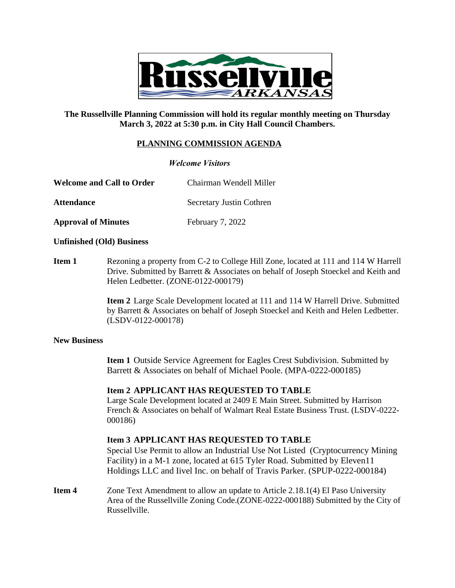

## **The Russellville Planning Commission will hold its regular monthly meeting on Thursday March 3, 2022 at 5:30 p.m. in City Hall Council Chambers.**

# **PLANNING COMMISSION AGENDA**

### *Welcome Visitors*

Attendance Secretary Justin Cothren

**Approval of Minutes** February 7, 2022

#### **Unfinished (Old) Business**

**Item 1** Rezoning a property from C-2 to College Hill Zone, located at 111 and 114 W Harrell Drive. Submitted by Barrett & Associates on behalf of Joseph Stoeckel and Keith and Helen Ledbetter. (ZONE-0122-000179)

> **Item 2** Large Scale Development located at 111 and 114 W Harrell Drive. Submitted by Barrett & Associates on behalf of Joseph Stoeckel and Keith and Helen Ledbetter. (LSDV-0122-000178)

#### **New Business**

**Item 1** Outside Service Agreement for Eagles Crest Subdivision. Submitted by Barrett & Associates on behalf of Michael Poole. (MPA-0222-000185)

#### **Item 2 APPLICANT HAS REQUESTED TO TABLE**

Large Scale Development located at 2409 E Main Street. Submitted by Harrison French & Associates on behalf of Walmart Real Estate Business Trust. (LSDV-0222- 000186)

## **Item 3 APPLICANT HAS REQUESTED TO TABLE**

Special Use Permit to allow an Industrial Use Not Listed (Cryptocurrency Mining Facility) in a M-1 zone, located at 615 Tyler Road. Submitted by Eleven11 Holdings LLC and Iivel Inc. on behalf of Travis Parker. (SPUP-0222-000184)

**Item 4** Zone Text Amendment to allow an update to Article 2.18.1(4) El Paso University Area of the Russellville Zoning Code.(ZONE-0222-000188) Submitted by the City of Russellville.